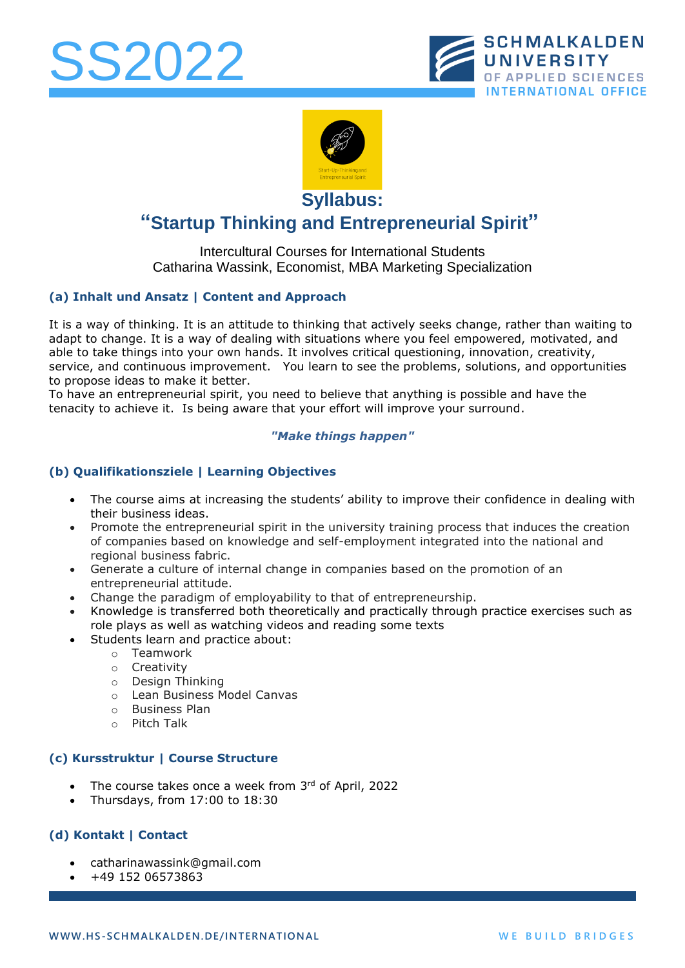





**Syllabus:** 

# **"Startup Thinking and Entrepreneurial Spirit"**

# Intercultural Courses for International Students Catharina Wassink, Economist, MBA Marketing Specialization

# **(a) Inhalt und Ansatz | Content and Approach**

It is a way of thinking. It is an attitude to thinking that actively seeks change, rather than waiting to adapt to change. It is a way of dealing with situations where you feel empowered, motivated, and able to take things into your own hands. It involves critical questioning, innovation, creativity, service, and continuous improvement. You learn to see the problems, solutions, and opportunities to propose ideas to make it better.

To have an entrepreneurial spirit, you need to believe that anything is possible and have the tenacity to achieve it. Is being aware that your effort will improve your surround.

#### *"Make things happen"*

# **(b) Qualifikationsziele | Learning Objectives**

- The course aims at increasing the students' ability to improve their confidence in dealing with their business ideas.
- Promote the entrepreneurial spirit in the university training process that induces the creation of companies based on knowledge and self-employment integrated into the national and regional business fabric.
- Generate a culture of internal change in companies based on the promotion of an entrepreneurial attitude.
- Change the paradigm of employability to that of entrepreneurship.
- Knowledge is transferred both theoretically and practically through practice exercises such as role plays as well as watching videos and reading some texts
- Students learn and practice about:
	- o Teamwork
	- o Creativity
	- o Design Thinking
	- o Lean Business Model Canvas
	- o Business Plan
	- o Pitch Talk

#### **(c) Kursstruktur | Course Structure**

- The course takes once a week from 3rd of April, 2022
- Thursdays, from 17:00 to 18:30

#### **(d) Kontakt | Contact**

- [catharinawassink@gmail.com](mailto:g.mueller@hs-sm.de)
- +49 152 06573863